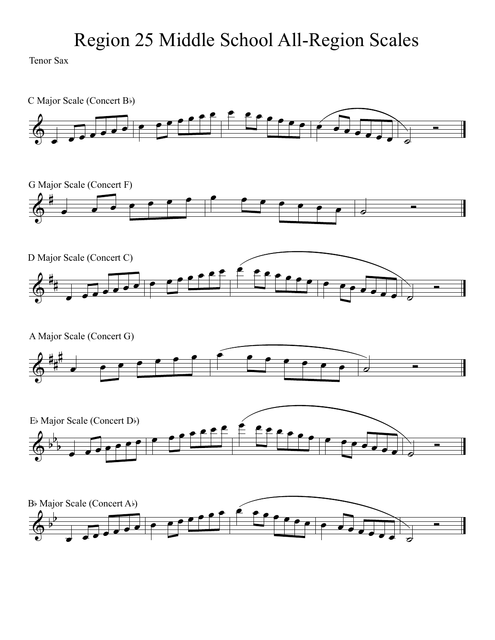Tenor Sax